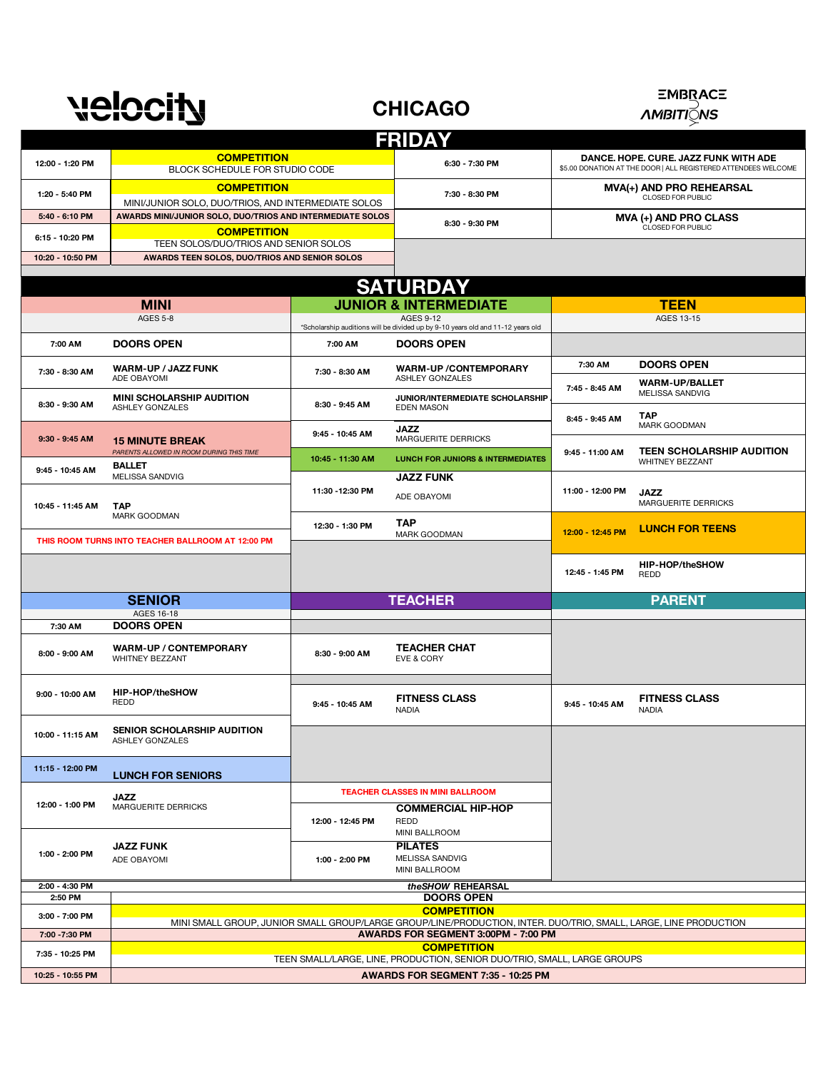## velocity

## **CHICAGO**



|                           |                                                                                                                  |                  | <b>FRIDAY</b>                                                                   |                                                                                                         |                                          |
|---------------------------|------------------------------------------------------------------------------------------------------------------|------------------|---------------------------------------------------------------------------------|---------------------------------------------------------------------------------------------------------|------------------------------------------|
| 12:00 - 1:20 PM           | <b>COMPETITION</b><br>BLOCK SCHEDULE FOR STUDIO CODE                                                             |                  | 6:30 - 7:30 PM                                                                  | DANCE. HOPE. CURE. JAZZ FUNK WITH ADE<br>\$5.00 DONATION AT THE DOOR   ALL REGISTERED ATTENDEES WELCOME |                                          |
| 1:20 - 5:40 PM            | <b>COMPETITION</b><br>MINI/JUNIOR SOLO, DUO/TRIOS, AND INTERMEDIATE SOLOS                                        |                  | 7:30 - 8:30 PM                                                                  | MVA(+) AND PRO REHEARSAL<br>CLOSED FOR PUBLIC                                                           |                                          |
| 5:40 - 6:10 PM            | AWARDS MINI/JUNIOR SOLO, DUO/TRIOS AND INTERMEDIATE SOLOS                                                        |                  | 8:30 - 9:30 PM                                                                  | MVA (+) AND PRO CLASS<br>CLOSED FOR PUBLIC                                                              |                                          |
| 6:15 - 10:20 PM           | <b>COMPETITION</b><br>TEEN SOLOS/DUO/TRIOS AND SENIOR SOLOS                                                      |                  |                                                                                 |                                                                                                         |                                          |
| 10:20 - 10:50 PM          | AWARDS TEEN SOLOS, DUO/TRIOS AND SENIOR SOLOS                                                                    |                  |                                                                                 |                                                                                                         |                                          |
|                           |                                                                                                                  |                  | <b>SATURDAY</b>                                                                 |                                                                                                         |                                          |
|                           | <b>MINI</b>                                                                                                      |                  | <b>JUNIOR &amp; INTERMEDIATE</b>                                                |                                                                                                         | <b>TEEN</b>                              |
|                           | <b>AGES 5-8</b>                                                                                                  |                  | <b>AGES 9-12</b>                                                                |                                                                                                         | AGES 13-15                               |
|                           |                                                                                                                  |                  | *Scholarship auditions will be divided up by 9-10 years old and 11-12 years old |                                                                                                         |                                          |
| 7:00 AM                   | <b>DOORS OPEN</b>                                                                                                | 7:00 AM          | <b>DOORS OPEN</b>                                                               |                                                                                                         |                                          |
| 7:30 - 8:30 AM            | <b>WARM-UP / JAZZ FUNK</b><br>ADE OBAYOMI                                                                        | 7:30 - 8:30 AM   | <b>WARM-UP/CONTEMPORARY</b><br>ASHLEY GONZALES                                  | 7:30 AM                                                                                                 | <b>DOORS OPEN</b>                        |
| 8:30 - 9:30 AM            | <b>MINI SCHOLARSHIP AUDITION</b><br>ASHLEY GONZALES                                                              | 8:30 - 9:45 AM   | JUNIOR/INTERMEDIATE SCHOLARSHIP<br><b>EDEN MASON</b>                            | 7:45 - 8:45 AM                                                                                          | <b>WARM-UP/BALLET</b><br>MELISSA SANDVIG |
|                           |                                                                                                                  |                  | <b>JAZZ</b>                                                                     | 8:45 - 9:45 AM                                                                                          | <b>TAP</b><br>MARK GOODMAN               |
| 9:30 - 9:45 AM            | <b>15 MINUTE BREAK</b><br>PARENTS ALLOWED IN ROOM DURING THIS TIME                                               | 9:45 - 10:45 AM  | MARGUERITE DERRICKS                                                             |                                                                                                         | <b>TEEN SCHOLARSHIP AUDITION</b>         |
| 9:45 - 10:45 AM           | <b>BALLET</b>                                                                                                    | 10:45 - 11:30 AM | <b>LUNCH FOR JUNIORS &amp; INTERMEDIATES</b>                                    | 9:45 - 11:00 AM                                                                                         | <b>WHITNEY BEZZANT</b>                   |
| 10:45 - 11:45 AM          | MELISSA SANDVIG<br><b>TAP</b>                                                                                    | 11:30 - 12:30 PM | <b>JAZZ FUNK</b><br>ADE OBAYOMI                                                 | 11:00 - 12:00 PM                                                                                        | <b>JAZZ</b><br>MARGUERITE DERRICKS       |
|                           | MARK GOODMAN                                                                                                     | 12:30 - 1:30 PM  | <b>TAP</b>                                                                      |                                                                                                         | <b>LUNCH FOR TEENS</b>                   |
|                           | THIS ROOM TURNS INTO TEACHER BALLROOM AT 12:00 PM                                                                |                  | MARK GOODMAN                                                                    | 12:00 - 12:45 PM                                                                                        |                                          |
|                           |                                                                                                                  |                  |                                                                                 | 12:45 - 1:45 PM                                                                                         | HIP-HOP/theSHOW<br>REDD                  |
|                           | <b>SENIOR</b>                                                                                                    |                  | <b>TEACHER</b>                                                                  |                                                                                                         | <b>PARENT</b>                            |
|                           | AGES 16-18                                                                                                       |                  |                                                                                 |                                                                                                         |                                          |
| 7:30 AM                   | <b>DOORS OPEN</b>                                                                                                |                  |                                                                                 |                                                                                                         |                                          |
| 8:00 - 9:00 AM            | <b>WARM-UP / CONTEMPORARY</b><br>WHITNEY BEZZANT                                                                 | 8:30 - 9:00 AM   | <b>TEACHER CHAT</b><br>EVE & CORY                                               |                                                                                                         |                                          |
| 9:00 - 10:00 AM           | HIP-HOP/theSHOW<br>REDD                                                                                          | 9:45 - 10:45 AM  | <b>FITNESS CLASS</b><br><b>NADIA</b>                                            | 9:45 - 10:45 AM                                                                                         | <b>FITNESS CLASS</b><br><b>NADIA</b>     |
| 10:00 - 11:15 AM          | SENIOR SCHOLARSHIP AUDITION<br>ASHLEY GONZALES                                                                   |                  |                                                                                 |                                                                                                         |                                          |
| 11:15 - 12:00 PM          | <b>LUNCH FOR SENIORS</b>                                                                                         |                  |                                                                                 |                                                                                                         |                                          |
|                           | <b>JAZZ</b>                                                                                                      |                  | <b>TEACHER CLASSES IN MINI BALLROOM</b>                                         |                                                                                                         |                                          |
| 12:00 - 1:00 PM           | MARGUERITE DERRICKS                                                                                              | 12:00 - 12:45 PM | <b>COMMERCIAL HIP-HOP</b><br>REDD<br>MINI BALLROOM                              |                                                                                                         |                                          |
| 1:00 - 2:00 PM            | <b>JAZZ FUNK</b><br>ADE OBAYOMI                                                                                  | 1:00 - 2:00 PM   | <b>PILATES</b><br><b>MELISSA SANDVIG</b><br>MINI BALLROOM                       |                                                                                                         |                                          |
| 2:00 - 4:30 PM<br>2:50 PM |                                                                                                                  |                  | theSHOW REHEARSAL<br><b>DOORS OPEN</b>                                          |                                                                                                         |                                          |
|                           |                                                                                                                  |                  | <b>COMPETITION</b>                                                              |                                                                                                         |                                          |
| 3:00 - 7:00 PM            | MINI SMALL GROUP, JUNIOR SMALL GROUP/LARGE GROUP/LINE/PRODUCTION, INTER. DUO/TRIO, SMALL, LARGE, LINE PRODUCTION |                  |                                                                                 |                                                                                                         |                                          |
| 7:00 - 7:30 PM            | AWARDS FOR SEGMENT 3:00PM - 7:00 PM                                                                              |                  |                                                                                 |                                                                                                         |                                          |
|                           | <b>COMPETITION</b><br>TEEN SMALL/LARGE, LINE, PRODUCTION, SENIOR DUO/TRIO, SMALL, LARGE GROUPS                   |                  |                                                                                 |                                                                                                         |                                          |
| 7:35 - 10:25 PM           |                                                                                                                  |                  |                                                                                 |                                                                                                         |                                          |